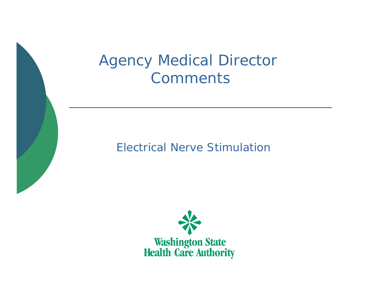## Agency Medical Director **Comments**

### Electrical Nerve Stimulation

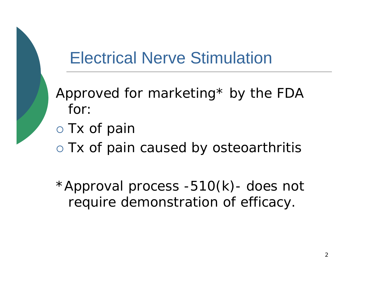# Electrical Nerve Stimulation

Approved for marketing\* by the FDA for:

o Tx of pain

o Tx of pain caused by osteoarthritis

\*Approval process -510(k)- does not require demonstration of efficacy.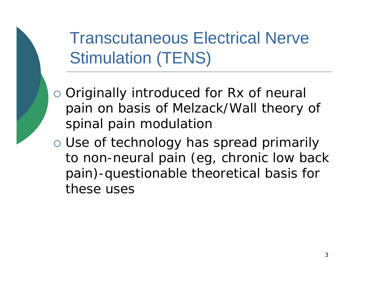Transcutaneous Electrical Nerve Stimulation (TENS)

- o Originally introduced for Rx of neural pain on basis of Melzack/Wall theory of spinal pain modulation
- o Use of technology has spread primarily to non-neural pain (eg, chronic low back pain)-questionable theoretical basis for these uses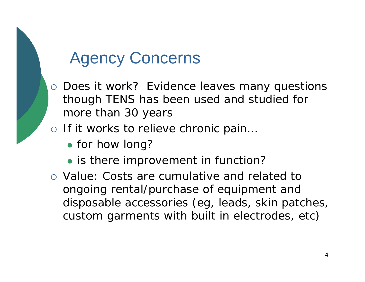## Agency Concerns

- o Does it work? Evidence leaves many questions though TENS has been used and studied for more than 30 years
- o If it works to relieve chronic pain...
	- for how long?
	- is there improvement in function?
- { Value: Costs are cumulative and related to ongoing rental/purchase of equipment and disposable accessories (eg, leads, skin patches, custom garments with built in electrodes, etc)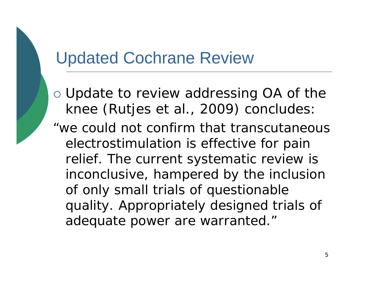## Updated Cochrane Review

o Update to review addressing OA of the knee (Rutjes et al., 2009) concludes: "we could not confirm that transcutaneous electrostimulation is effective for pain relief. The current systematic review is inconclusive, hampered by the inclusion of only small trials of questionable quality. Appropriately designed trials of adequate power are warranted."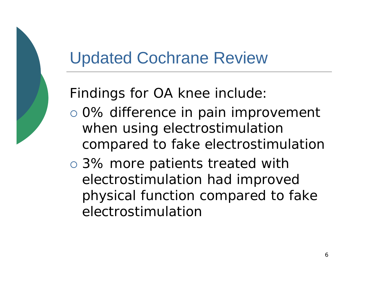## Updated Cochrane Review

Findings for OA knee include:

- o 0% difference in pain improvement when using electrostimulation compared to fake electrostimulation
- o 3% more patients treated with electrostimulation had improved physical function compared to fake electrostimulation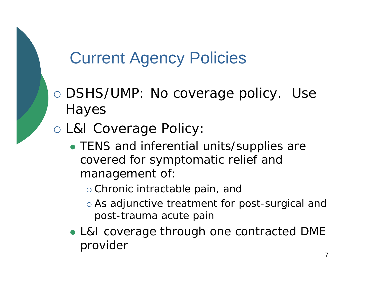# Current Agency Policies

- o DSHS/UMP: No coverage policy. Use Hayes
- o L&I Coverage Policy:
	- TENS and inferential units/supplies are covered for symptomatic relief and management of:
		- o Chronic intractable pain, and
		- o As adjunctive treatment for post-surgical and post-trauma acute pain
	- L&I coverage through one contracted DME provider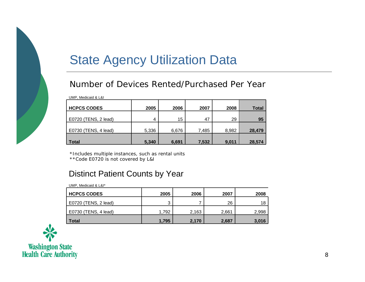## State Agency Utilization Data

#### Number of Devices Rented/Purchased Per Year

| <b>HCPCS CODES</b>   | 2005  | 2006  | 2007  | 2008  | <b>Total</b> |
|----------------------|-------|-------|-------|-------|--------------|
| E0720 (TENS, 2 lead) | 4     | 15    | 47    | 29    | 95           |
| E0730 (TENS, 4 lead) | 5,336 | 6,676 | 7,485 | 8,982 | 28,479       |
| <b>Total</b>         | 5,340 | 6,691 | 7,532 | 9,011 | 28,574       |

\*Includes multiple instances, such as rental units

\*\*Code E0720 is not covered by L&I

### Distinct Patient Counts by Year

| UMP, Medicaid & L&I* |       |       |       |       |  |  |
|----------------------|-------|-------|-------|-------|--|--|
| <b>HCPCS CODES</b>   | 2005  | 2006  | 2007  | 2008  |  |  |
| E0720 (TENS, 2 lead) | っ     |       | 26    | 18    |  |  |
| E0730 (TENS, 4 lead) | 1.792 | 2,163 | 2,661 | 2,998 |  |  |
| <b>Total</b>         | 1,795 | 2,170 | 2,687 | 3,016 |  |  |

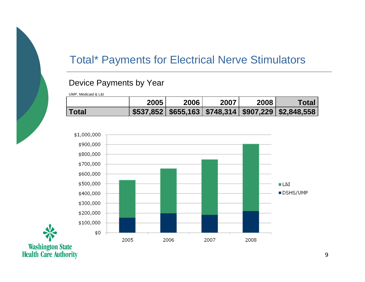## Total\* Payments for Electrical Nerve Stimulators

### Device Payments by Year

UMP, Medicaid & L&I

|              | 2005 | 2006 | 2007 | 2008 | Totar                                            |
|--------------|------|------|------|------|--------------------------------------------------|
| <b>Total</b> |      |      |      |      | $$537,852 $655,163 $748,314 $907,229 $2,848,558$ |



Washington State<br>Health Care Authority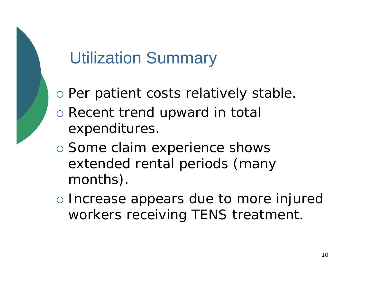# Utilization Summary

- o Per patient costs relatively stable.
- o Recent trend upward in total expenditures.
- o Some claim experience shows extended rental periods (many months).
- o Increase appears due to more injured workers receiving TENS treatment.